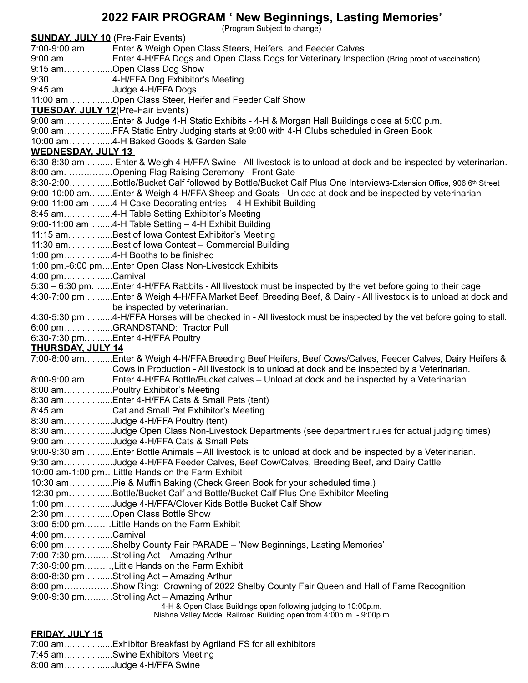## **2022 FAIR PROGRAM ' New Beginnings, Lasting Memories'**

(Program Subject to change)

| <b>SUNDAY, JULY 10</b> (Pre-Fair Events) |                                                                                                                             |
|------------------------------------------|-----------------------------------------------------------------------------------------------------------------------------|
|                                          | 7:00-9:00 amEnter & Weigh Open Class Steers, Heifers, and Feeder Calves                                                     |
|                                          | 9:00 amEnter 4-H/FFA Dogs and Open Class Dogs for Veterinary Inspection (Bring proof of vaccination)                        |
|                                          | 9:15 amOpen Class Dog Show                                                                                                  |
|                                          |                                                                                                                             |
|                                          | 9:45 am Judge 4-H/FFA Dogs                                                                                                  |
|                                          | 11:00 am Open Class Steer, Heifer and Feeder Calf Show                                                                      |
|                                          | <b>TUESDAY, JULY 12(Pre-Fair Events)</b>                                                                                    |
|                                          | 9:00 am Enter & Judge 4-H Static Exhibits - 4-H & Morgan Hall Buildings close at 5:00 p.m.                                  |
|                                          | 9:00 am FFA Static Entry Judging starts at 9:00 with 4-H Clubs scheduled in Green Book                                      |
|                                          | 10:00 am 4-H Baked Goods & Garden Sale                                                                                      |
| <b>WEDNESDAY, JULY 13</b>                |                                                                                                                             |
|                                          | 6:30-8:30 am Enter & Weigh 4-H/FFA Swine - All livestock is to unload at dock and be inspected by veterinarian.             |
|                                          | 8:00 am. Opening Flag Raising Ceremony - Front Gate                                                                         |
|                                          | 8:30-2:00Bottle/Bucket Calf followed by Bottle/Bucket Calf Plus One Interviews-Extension Office, 906 6 <sup>th</sup> Street |
|                                          | 9:00-10:00 amEnter & Weigh 4-H/FFA Sheep and Goats - Unload at dock and be inspected by veterinarian                        |
|                                          | 9:00-11:00 am 4-H Cake Decorating entries - 4-H Exhibit Building                                                            |
|                                          | 8:45 am4-H Table Setting Exhibitor's Meeting                                                                                |
|                                          | 9:00-11:00 am 4-H Table Setting - 4-H Exhibit Building                                                                      |
|                                          | 11:15 am. Best of lowa Contest Exhibitor's Meeting                                                                          |
|                                          | 11:30 am. Best of lowa Contest - Commercial Building                                                                        |
|                                          |                                                                                                                             |
|                                          | 1:00 pm.-6:00 pmEnter Open Class Non-Livestock Exhibits                                                                     |
| 4:00 pm. Carnival                        |                                                                                                                             |
|                                          | 5:30 - 6:30 pmEnter 4-H/FFA Rabbits - All livestock must be inspected by the vet before going to their cage                 |
|                                          | 4:30-7:00 pmEnter & Weigh 4-H/FFA Market Beef, Breeding Beef, & Dairy - All livestock is to unload at dock and              |
|                                          | be inspected by veterinarian.                                                                                               |
|                                          | 4:30-5:30 pm4-H/FFA Horses will be checked in - All livestock must be inspected by the vet before going to stall.           |
|                                          | 6:00 pmGRANDSTAND: Tractor Pull                                                                                             |
|                                          | 6:30-7:30 pmEnter 4-H/FFA Poultry                                                                                           |
| <b>THURSDAY, JULY 14</b>                 |                                                                                                                             |
|                                          | 7:00-8:00 amEnter & Weigh 4-H/FFA Breeding Beef Heifers, Beef Cows/Calves, Feeder Calves, Dairy Heifers &                   |
|                                          | Cows in Production - All livestock is to unload at dock and be inspected by a Veterinarian.                                 |
|                                          | 8:00-9:00 amEnter 4-H/FFA Bottle/Bucket calves - Unload at dock and be inspected by a Veterinarian.                         |
|                                          | 8:00 am.  Poultry Exhibitor's Meeting                                                                                       |
|                                          | 8:30 amEnter 4-H/FFA Cats & Small Pets (tent)                                                                               |
|                                          | 8:45 amCat and Small Pet Exhibitor's Meeting<br>8:30 amJudge 4-H/FFA Poultry (tent)                                         |
|                                          | 8:30 amJudge Open Class Non-Livestock Departments (see department rules for actual judging times)                           |
|                                          | 9:00 am Judge 4-H/FFA Cats & Small Pets                                                                                     |
|                                          | 9:00-9:30 amEnter Bottle Animals - All livestock is to unload at dock and be inspected by a Veterinarian.                   |
|                                          | 9:30 amJudge 4-H/FFA Feeder Calves, Beef Cow/Calves, Breeding Beef, and Dairy Cattle                                        |
|                                          | 10:00 am-1:00 pmLittle Hands on the Farm Exhibit                                                                            |
|                                          |                                                                                                                             |
|                                          | 12:30 pmBottle/Bucket Calf and Bottle/Bucket Calf Plus One Exhibitor Meeting                                                |
|                                          | 1:00 pmJudge 4-H/FFA/Clover Kids Bottle Bucket Calf Show                                                                    |
|                                          | 2:30 pmOpen Class Bottle Show                                                                                               |
|                                          | 3:00-5:00 pmLittle Hands on the Farm Exhibit                                                                                |
| 4:00 pm. Carnival                        |                                                                                                                             |
|                                          | 6:00 pmShelby County Fair PARADE - 'New Beginnings, Lasting Memories'                                                       |
|                                          | 7:00-7:30 pm Strolling Act - Amazing Arthur                                                                                 |
|                                          | 7:30-9:00 pm, Little Hands on the Farm Exhibit                                                                              |
|                                          | 8:00-8:30 pmStrolling Act - Amazing Arthur                                                                                  |
|                                          | 8:00 pmShow Ring: Crowning of 2022 Shelby County Fair Queen and Hall of Fame Recognition                                    |
|                                          | 9:00-9:30 pm Strolling Act - Amazing Arthur                                                                                 |
|                                          | 4-H & Open Class Buildings open following judging to 10:00p.m.                                                              |
|                                          | Nishna Valley Model Railroad Building open from 4:00p.m. - 9:00p.m                                                          |
|                                          |                                                                                                                             |
| <b>FRIDAY, JULY 15</b>                   |                                                                                                                             |

7:00 am...................Exhibitor Breakfast by Agriland FS for all exhibitors 7:45 am...................Swine Exhibitors Meeting

8:00 am...................Judge 4-H/FFA Swine